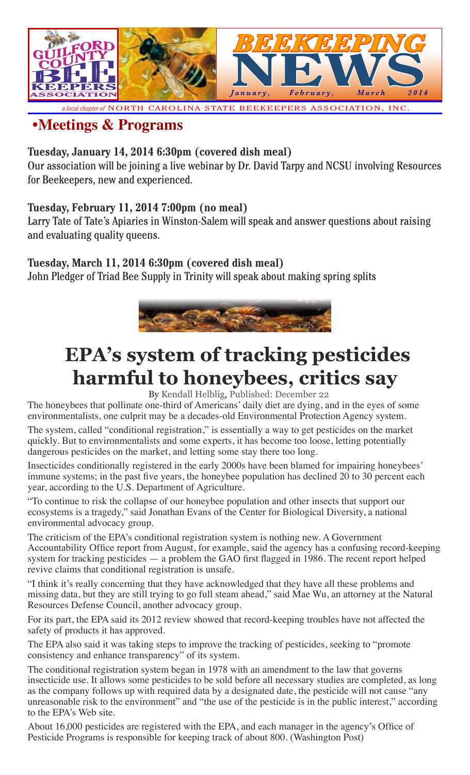

### **•Meetings & Programs**

### **Tuesday, January 14, 2014 6:30pm (covered dish meal)**

Our association will be joining a live webinar by Dr. David Tarpy and NCSU involving Resources for Beekeepers, new and experienced.

### **Tuesday, February 11, 2014 7:00pm (no meal)**

Larry Tate of Tate's Apiaries in Winston-Salem will speak and answer questions about raising and evaluating quality queens.

### **Tuesday, March 11, 2014 6:30pm (covered dish meal)**

John Pledger of Triad Bee Supply in Trinity will speak about making spring splits



### **EPA's system of tracking pesticides harmful to honeybees, critics say**

By Kendall Helblig, Published: December 22

The honeybees that pollinate one-third of Americans' daily diet are dying, and in the eyes of some environmentalists, one culprit may be a decades-old Environmental Protection Agency system.

The system, called "conditional registration," is essentially a way to get pesticides on the market quickly. But to environmentalists and some experts, it has become too loose, letting potentially dangerous pesticides on the market, and letting some stay there too long.

Insecticides conditionally registered in the early 2000s have been blamed for impairing honeybees' immune systems; in the past five years, the honeybee population has declined 20 to 30 percent each year, according to the U.S. Department of Agriculture.

"To continue to risk the collapse of our honeybee population and other insects that support our ecosystems is a tragedy," said Jonathan Evans of the Center for Biological Diversity, a national environmental advocacy group.

The criticism of the EPA's conditional registration system is nothing new. A Government Accountability Office report from August, for example, said the agency has a confusing record-keeping system for tracking pesticides — a problem the GAO first flagged in 1986. The recent report helped revive claims that conditional registration is unsafe.

"I think it's really concerning that they have acknowledged that they have all these problems and missing data, but they are still trying to go full steam ahead," said Mae Wu, an attorney at the Natural Resources Defense Council, another advocacy group.

For its part, the EPA said its 2012 review showed that record-keeping troubles have not affected the safety of products it has approved.

The EPA also said it was taking steps to improve the tracking of pesticides, seeking to "promote consistency and enhance transparency" of its system.

The conditional registration system began in 1978 with an amendment to the law that governs insecticide use. It allows some pesticides to be sold before all necessary studies are completed, as long as the company follows up with required data by a designated date, the pesticide will not cause "any unreasonable risk to the environment" and "the use of the pesticide is in the public interest," according to the EPA's Web site.

About 16,000 pesticides are registered with the EPA, and each manager in the agency's Office of Pesticide Programs is responsible for keeping track of about 800. (Washington Post)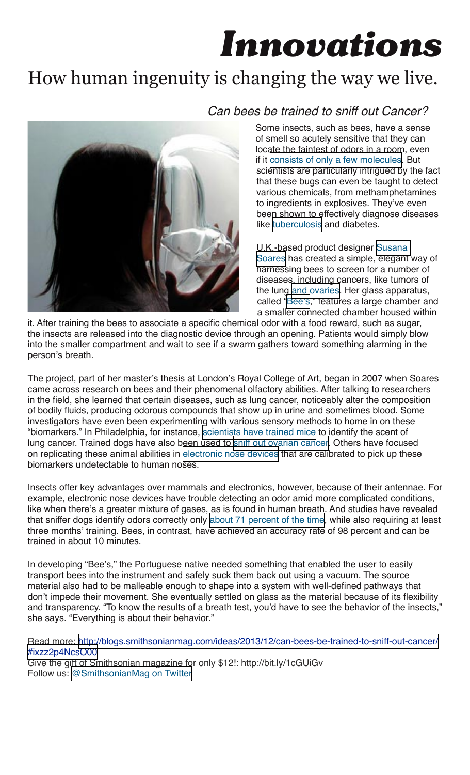# *Innovations*

### How human ingenuity is changing the way we live.



#### Can bees be trained to sniff out Cancer?

Some insects, such as bees, have a sense of smell so acutely sensitive that they can locate the faintest of odors in a room, even if it [consists of only a few molecules](http://edition.cnn.com/TRANSCRIPTS/0604/05/acd.02.html). But scientists are particularly intrigued by the fact that these bugs can even be taught to detect various chemicals, from methamphetamines to ingredients in explosives. They've even been shown to effectively diagnose diseases like [tuberculosis](http://www.the-scientist.com/?articles.view/articleNo/31783/title/T-Bee/) and diabetes.

U.K.-based product designer [Susana](http://www.susanasoares.com/index.php?id=56)  [Soares](http://www.susanasoares.com/index.php?id=56) has created a simple, elegant way of harnessing bees to screen for a number of diseases, including cancers, like tumors of the lung [and ovaries](http://www2.ups.edu/community/thsms/abstracts/hannafordfosterabstract.html). Her glass apparatus, called "[Bee's,](http://www.susanasoares.com/index.php?id=56)" features a large chamber and a smaller connected chamber housed within

it. After training the bees to associate a specific chemical odor with a food reward, such as sugar, the insects are released into the diagnostic device through an opening. Patients would simply blow into the smaller compartment and wait to see if a swarm gathers toward something alarming in the person's breath.

The project, part of her master's thesis at London's Royal College of Art, began in 2007 when Soares came across research on bees and their phenomenal olfactory abilities. After talking to researchers in the field, she learned that certain diseases, such as lung cancer, noticeably alter the composition of bodily fluids, producing odorous compounds that show up in urine and sometimes blood. Some investigators have even been experimenting with various sensory methods to home in on these "biomarkers." In Philadelphia, for instance, [scientists have trained mice](http://www.cancer.org/aboutus/drlensblog/post/2010/01/29/will-odors-help-us-find-cancer-early.aspx) to identify the scent of lung cancer. Trained dogs have also been used to [sniff out ovarian cancer](http://www.cbsnews.com/news/doctor-dogs-being-trained-to-sniff-out-ovarian-cancer/). Others have focused on replicating these animal abilities in [electronic nose devices](http://nocamels.com/2013/04/israeli-team-heads-research-into-electronic-nose-to-sniff-out-cancer/) that are calibrated to pick up these biomarkers undetectable to human noses.

Insects offer key advantages over mammals and electronics, however, because of their antennae. For example, electronic nose devices have trouble detecting an odor amid more complicated conditions, like when there's a greater mixture of gases, as is found in human breath. And studies have revealed that sniffer dogs identify odors correctly only [about 71 percent of the time,](http://www.telegraph.co.uk/science/8104213/Bees-mans-best-friend-provider-and-protector.html) while also requiring at least three months' training. Bees, in contrast, have achieved an accuracy rate of 98 percent and can be trained in about 10 minutes.

In developing "Bee's," the Portuguese native needed something that enabled the user to easily transport bees into the instrument and safely suck them back out using a vacuum. The source material also had to be malleable enough to shape into a system with well-defined pathways that don't impede their movement. She eventually settled on glass as the material because of its flexibility and transparency. "To know the results of a breath test, you'd have to see the behavior of the insects," she says. "Everything is about their behavior."

Read more: [http://blogs.smithsonianmag.com/ideas/2013/12/can-bees-be-trained-to-sniff-out-cancer/](http://blogs.smithsonianmag.com/ideas/2013/12/can-bees-be-trained-to-sniff-out-cancer/#ixzz2p4NcsO00) [#ixzz2p4NcsO00](http://blogs.smithsonianmag.com/ideas/2013/12/can-bees-be-trained-to-sniff-out-cancer/#ixzz2p4NcsO00) Give the gift of Smithsonian magazine for only \$12!: http://bit.ly/1cGUiGv

Follow us: [@SmithsonianMag on Twitter](http://ec.tynt.com/b/rw?id=cd5NqsI_0r3Qffab7jrHtB&u=SmithsonianMag)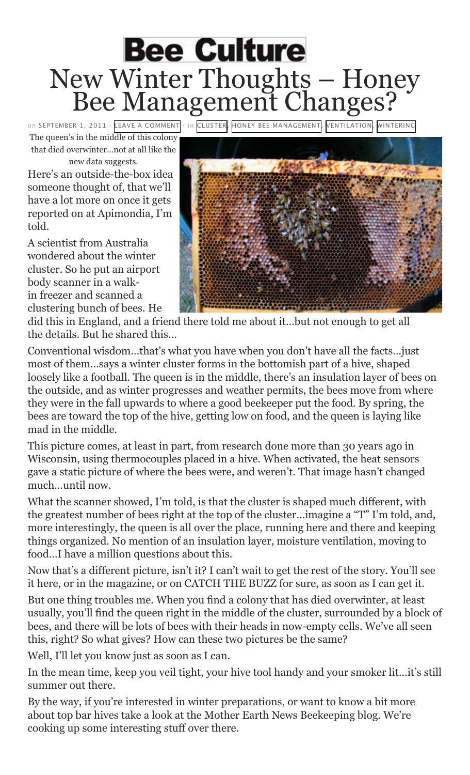

on SEPTEMBER 1, 2011 · [LEAVE A COMMENT](http://blog.beeculture.com/index.php/new-winter-thoughts-honey-bee-management-changes/#comments) · in [CLUSTER,](http://blog.beeculture.com/index.php/category/cluster/) [HONEY BEE MANAGEMENT](http://blog.beeculture.com/index.php/category/honey-bee-management/), [VENTILATION,](http://blog.beeculture.com/index.php/category/ventilation-2/) [WINTERING](http://blog.beeculture.com/index.php/category/wintering/)

The queen's in the middle of this colony that died overwinter…not at all like the

new data suggests. Here's an outside-the-box idea someone thought of, that we'll have a lot more on once it gets reported on at Apimondia, I'm told.

A scientist from Australia wondered about the winter cluster. So he put an airport body scanner in a walkin freezer and scanned a clustering bunch of bees. He



did this in England, and a friend there told me about it…but not enough to get all the details. But he shared this…

Conventional wisdom…that's what you have when you don't have all the facts…just most of them…says a winter cluster forms in the bottomish part of a hive, shaped loosely like a football. The queen is in the middle, there's an insulation layer of bees on the outside, and as winter progresses and weather permits, the bees move from where they were in the fall upwards to where a good beekeeper put the food. By spring, the bees are toward the top of the hive, getting low on food, and the queen is laying like mad in the middle.

This picture comes, at least in part, from research done more than 30 years ago in Wisconsin, using thermocouples placed in a hive. When activated, the heat sensors gave a static picture of where the bees were, and weren't. That image hasn't changed much…until now.

What the scanner showed, I'm told, is that the cluster is shaped much different, with the greatest number of bees right at the top of the cluster…imagine a "T" I'm told, and, more interestingly, the queen is all over the place, running here and there and keeping things organized. No mention of an insulation layer, moisture ventilation, moving to food…I have a million questions about this.

Now that's a different picture, isn't it? I can't wait to get the rest of the story. You'll see it here, or in the magazine, or on CATCH THE BUZZ for sure, as soon as I can get it.

But one thing troubles me. When you find a colony that has died overwinter, at least usually, you'll find the queen right in the middle of the cluster, surrounded by a block of bees, and there will be lots of bees with their heads in now-empty cells. We've all seen this, right? So what gives? How can these two pictures be the same?

Well, I'll let you know just as soon as I can.

In the mean time, keep you veil tight, your hive tool handy and your smoker lit…it's still summer out there.

By the way, if you're interested in winter preparations, or want to know a bit more about top bar hives take a look at the Mother Earth News Beekeeping blog. We're cooking up some interesting stuff over there.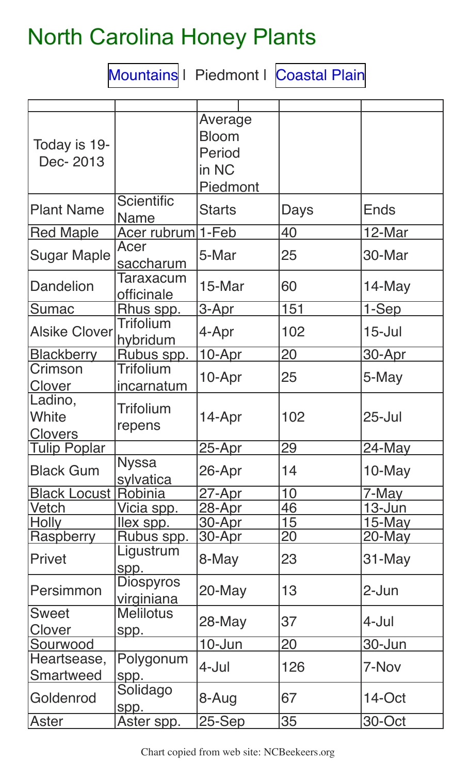# North Carolina Honey Plants

### [Mountains](http://www.ncbeekeepers.org/mountains.php) | Piedmont | [Coastal Plain](http://www.ncbeekeepers.org/coast.php)

|                             |                                  | Average       |      |             |
|-----------------------------|----------------------------------|---------------|------|-------------|
|                             |                                  | <b>Bloom</b>  |      |             |
| Today is 19-                |                                  | Period        |      |             |
| Dec-2013                    |                                  |               |      |             |
|                             |                                  | in NC         |      |             |
|                             |                                  | Piedmont      |      |             |
| <b>Plant Name</b>           | <b>Scientific</b><br><b>Name</b> | <b>Starts</b> | Days | <b>Ends</b> |
| <b>Red Maple</b>            | Acer rubrum   1-Feb              |               | 40   | 12-Mar      |
| <b>Sugar Maple</b>          | Acer<br>saccharum                | 5-Mar         | 25   | 30-Mar      |
| <b>Dandelion</b>            | Taraxacum<br>officinale          | 15-Mar        | 60   | $14$ -May   |
| Sumac                       | Rhus spp.                        | 3-Apr         | 151  | 1-Sep       |
| <b>Alsike Clover</b>        | <b>Trifolium</b><br>hybridum     | 4-Apr         | 102  | $15 -$ Jul  |
| <b>Blackberry</b>           | Rubus spp.                       | 10-Apr        | 20   | 30-Apr      |
| Crimson                     | Trifolium                        | 10-Apr        | 25   | 5-May       |
| Clover                      | <u>incarnatum</u>                |               |      |             |
| Ladino,                     | <b>Trifolium</b>                 | 14-Apr        | 102  | $25 -$ Jul  |
| White                       |                                  |               |      |             |
| <b>Clovers</b>              | repens                           |               |      |             |
| <u>Tulip Poplar</u>         |                                  | <u>25-Apr</u> | 29   | 24-May      |
|                             | <b>Nyssa</b>                     |               |      |             |
| <b>Black Gum</b>            | sylvatica                        | 26-Apr        | 14   | 10-May      |
| <b>Black Locust Robinia</b> |                                  | 27-Apr        | 10   | 7-May       |
| Vetch                       | Vicia spp.                       | 28-Apr        | 46   | 13-Jun      |
| <b>Holly</b>                | llex spp.                        | 30-Apr        | 15   | $15$ -May   |
| Raspberry                   | Rubus spp.                       | 30-Apr        | 20   | 20-May      |
| <b>Privet</b>               | Ligustrum<br>spp.                | 8-May         | 23   | $31$ -May   |
| Persimmon                   | <b>Diospyros</b><br>virginiana   | 20-May        | 13   | 2-Jun       |
| <b>Sweet</b>                | <b>Melilotus</b>                 |               | 37   | 4-Jul       |
| Clover                      | <u>spp.</u>                      | 28-May        |      |             |
| Sourwood                    |                                  | $10 - Jun$    | 20   | 30-Jun      |
| Heartsease,                 | Polygonum                        | 4-Jul         | 126  | 7-Nov       |
| <b>Smartweed</b>            | spp.                             |               |      |             |
| Goldenrod                   | Solidago<br>spp.                 | 8-Aug         | 67   | 14-Oct      |
| Aster                       | Aster spp.                       | 25-Sep        | 35   | 30-Oct      |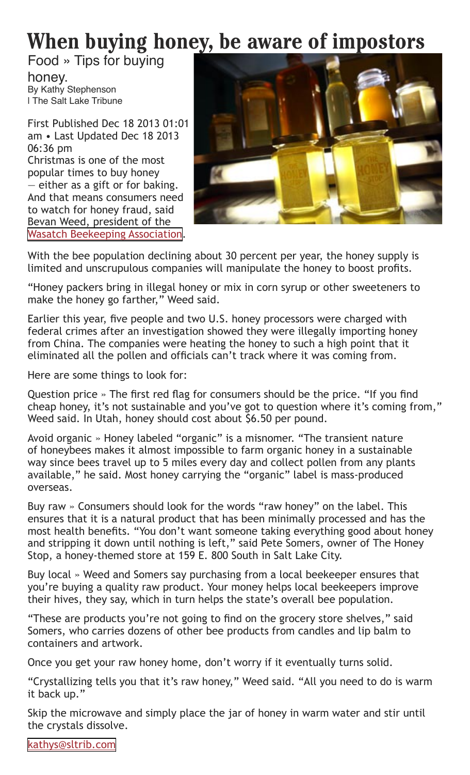## **When buying honey, be aware of impostors**

Food » Tips for buying honey. By Kathy Stephenson | The Salt Lake Tribune

First Published Dec 18 2013 01:01 am • Last Updated Dec 18 2013 06:36 pm Christmas is one of the most popular times to buy honey — either as a gift or for baking. And that means consumers need to watch for honey fraud, said Bevan Weed, president of the [Wasatch Beekeeping Association](http://www.sltrib.com/sltrib/entertainment2/57246349-223/www.wasatchbeekeepers.com).



With the bee population declining about 30 percent per year, the honey supply is limited and unscrupulous companies will manipulate the honey to boost profits.

"Honey packers bring in illegal honey or mix in corn syrup or other sweeteners to make the honey go farther," Weed said.

Earlier this year, five people and two U.S. honey processors were charged with federal crimes after an investigation showed they were illegally importing honey from China. The companies were heating the honey to such a high point that it eliminated all the pollen and officials can't track where it was coming from.

Here are some things to look for:

Question price » The first red flag for consumers should be the price. "If you find cheap honey, it's not sustainable and you've got to question where it's coming from," Weed said. In Utah, honey should cost about \$6.50 per pound.

Avoid organic » Honey labeled "organic" is a misnomer. "The transient nature of honeybees makes it almost impossible to farm organic honey in a sustainable way since bees travel up to 5 miles every day and collect pollen from any plants available," he said. Most honey carrying the "organic" label is mass-produced overseas.

Buy raw » Consumers should look for the words "raw honey" on the label. This ensures that it is a natural product that has been minimally processed and has the most health benefits. "You don't want someone taking everything good about honey and stripping it down until nothing is left," said Pete Somers, owner of The Honey Stop, a honey-themed store at 159 E. 800 South in Salt Lake City.

Buy local » Weed and Somers say purchasing from a local beekeeper ensures that you're buying a quality raw product. Your money helps local beekeepers improve their hives, they say, which in turn helps the state's overall bee population.

"These are products you're not going to find on the grocery store shelves," said Somers, who carries dozens of other bee products from candles and lip balm to containers and artwork.

Once you get your raw honey home, don't worry if it eventually turns solid.

"Crystallizing tells you that it's raw honey," Weed said. "All you need to do is warm it back up."

Skip the microwave and simply place the jar of honey in warm water and stir until the crystals dissolve.

#### [kathys@sltrib.com](mailto:kathys@sltrib.com)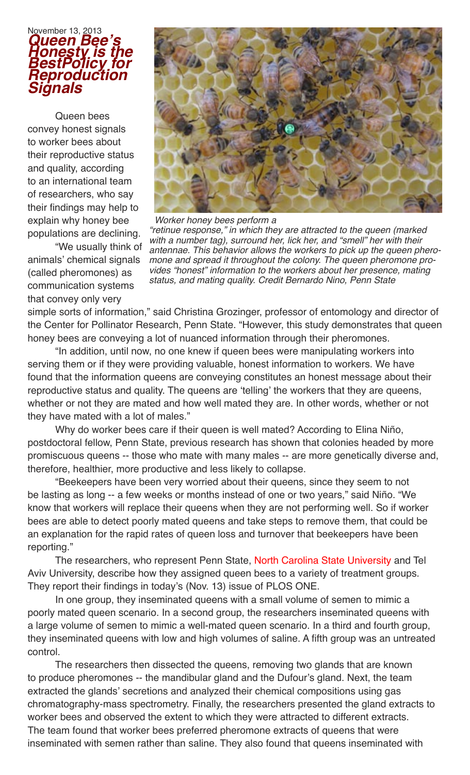### November 13, 2013<br>**Queen Bee's Honesty is the BestPolicy for Reproduction Signals**

Queen bees convey honest signals to worker bees about their reproductive status and quality, according to an international team of researchers, who say their findings may help to explain why honey bee populations are declining.

"We usually think of animals' chemical signals (called pheromones) as communication systems that convey only very



Worker honey bees perform a

"retinue response," in which they are attracted to the queen (marked with a number tag), surround her, lick her, and "smell" her with their antennae. This behavior allows the workers to pick up the queen pheromone and spread it throughout the colony. The queen pheromone provides "honest" information to the workers about her presence, mating status, and mating quality. Credit Bernardo Nino, Penn State

simple sorts of information," said Christina Grozinger, professor of entomology and director of the Center for Pollinator Research, Penn State. "However, this study demonstrates that queen honey bees are conveying a lot of nuanced information through their pheromones.

"In addition, until now, no one knew if queen bees were manipulating workers into serving them or if they were providing valuable, honest information to workers. We have found that the information queens are conveying constitutes an honest message about their reproductive status and quality. The queens are 'telling' the workers that they are queens, whether or not they are mated and how well mated they are. In other words, whether or not they have mated with a lot of males."

Why do worker bees care if their queen is well mated? According to Elina Niño, postdoctoral fellow, Penn State, previous research has shown that colonies headed by more promiscuous queens -- those who mate with many males -- are more genetically diverse and, therefore, healthier, more productive and less likely to collapse.

"Beekeepers have been very worried about their queens, since they seem to not be lasting as long -- a few weeks or months instead of one or two years," said Niño. "We know that workers will replace their queens when they are not performing well. So if worker bees are able to detect poorly mated queens and take steps to remove them, that could be an explanation for the rapid rates of queen loss and turnover that beekeepers have been reporting."

The researchers, who represent Penn State, North Carolina State University and Tel Aviv University, describe how they assigned queen bees to a variety of treatment groups. They report their findings in today's (Nov. 13) issue of PLOS ONE.

In one group, they inseminated queens with a small volume of semen to mimic a poorly mated queen scenario. In a second group, the researchers inseminated queens with a large volume of semen to mimic a well-mated queen scenario. In a third and fourth group, they inseminated queens with low and high volumes of saline. A fifth group was an untreated control.

The researchers then dissected the queens, removing two glands that are known to produce pheromones -- the mandibular gland and the Dufour's gland. Next, the team extracted the glands' secretions and analyzed their chemical compositions using gas chromatography-mass spectrometry. Finally, the researchers presented the gland extracts to worker bees and observed the extent to which they were attracted to different extracts. The team found that worker bees preferred pheromone extracts of queens that were inseminated with semen rather than saline. They also found that queens inseminated with